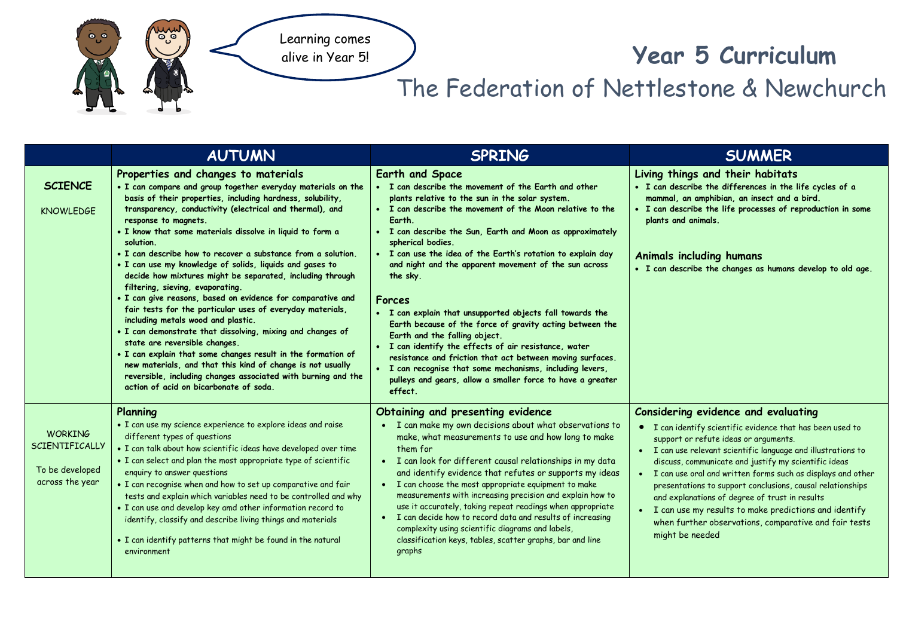

## **Year 5 Curriculum**

## The Federation of Nettlestone & Newchurch

|                                                                               | <b>AUTUMN</b>                                                                                                                                                                                                                                                                                                                                                                                                                                                                                                                                                                                                                                                                                                                                                                                                                                                                                                                                                                                                                                                          | <b>SPRING</b>                                                                                                                                                                                                                                                                                                                                                                                                                                                                                                                                                                                                                                                                                                                                                                                                                                                         | <b>SUMMER</b>                                                                                                                                                                                                                                                                                                                                                                                                                                                                                                                                                                             |
|-------------------------------------------------------------------------------|------------------------------------------------------------------------------------------------------------------------------------------------------------------------------------------------------------------------------------------------------------------------------------------------------------------------------------------------------------------------------------------------------------------------------------------------------------------------------------------------------------------------------------------------------------------------------------------------------------------------------------------------------------------------------------------------------------------------------------------------------------------------------------------------------------------------------------------------------------------------------------------------------------------------------------------------------------------------------------------------------------------------------------------------------------------------|-----------------------------------------------------------------------------------------------------------------------------------------------------------------------------------------------------------------------------------------------------------------------------------------------------------------------------------------------------------------------------------------------------------------------------------------------------------------------------------------------------------------------------------------------------------------------------------------------------------------------------------------------------------------------------------------------------------------------------------------------------------------------------------------------------------------------------------------------------------------------|-------------------------------------------------------------------------------------------------------------------------------------------------------------------------------------------------------------------------------------------------------------------------------------------------------------------------------------------------------------------------------------------------------------------------------------------------------------------------------------------------------------------------------------------------------------------------------------------|
| <b>SCIENCE</b><br><b>KNOWLEDGE</b>                                            | Properties and changes to materials<br>. I can compare and group together everyday materials on the<br>basis of their properties, including hardness, solubility,<br>transparency, conductivity (electrical and thermal), and<br>response to magnets.<br>. I know that some materials dissolve in liquid to form a<br>solution.<br>. I can describe how to recover a substance from a solution.<br>. I can use my knowledge of solids, liquids and gases to<br>decide how mixtures might be separated, including through<br>filtering, sieving, evaporating.<br>· I can give reasons, based on evidence for comparative and<br>fair tests for the particular uses of everyday materials,<br>including metals wood and plastic.<br>. I can demonstrate that dissolving, mixing and changes of<br>state are reversible changes.<br>. I can explain that some changes result in the formation of<br>new materials, and that this kind of change is not usually<br>reversible, including changes associated with burning and the<br>action of acid on bicarbonate of soda. | <b>Earth and Space</b><br>• I can describe the movement of the Earth and other<br>plants relative to the sun in the solar system.<br>• I can describe the movement of the Moon relative to the<br>Earth.<br>• I can describe the Sun, Earth and Moon as approximately<br>spherical bodies.<br>· I can use the idea of the Earth's rotation to explain day<br>and night and the apparent movement of the sun across<br>the sky.<br><b>Forces</b><br>• I can explain that unsupported objects fall towards the<br>Earth because of the force of gravity acting between the<br>Earth and the falling object.<br>· I can identify the effects of air resistance, water<br>resistance and friction that act between moving surfaces.<br>• I can recognise that some mechanisms, including levers,<br>pulleys and gears, allow a smaller force to have a greater<br>effect. | Living things and their habitats<br>• I can describe the differences in the life cycles of a<br>mammal, an amphibian, an insect and a bird.<br>• I can describe the life processes of reproduction in some<br>plants and animals.<br><b>Animals including humans</b><br>. I can describe the changes as humans develop to old age.                                                                                                                                                                                                                                                        |
| <b>WORKING</b><br><b>SCIENTIFICALLY</b><br>To be developed<br>across the year | Planning<br>• I can use my science experience to explore ideas and raise<br>different types of questions<br>. I can talk about how scientific ideas have developed over time<br>• I can select and plan the most appropriate type of scientific<br>enquiry to answer questions<br>. I can recognise when and how to set up comparative and fair<br>tests and explain which variables need to be controlled and why<br>. I can use and develop key amd other information record to<br>identify, classify and describe living things and materials<br>• I can identify patterns that might be found in the natural<br>environment                                                                                                                                                                                                                                                                                                                                                                                                                                        | Obtaining and presenting evidence<br>• I can make my own decisions about what observations to<br>make, what measurements to use and how long to make<br>them for<br>• I can look for different causal relationships in my data<br>and identify evidence that refutes or supports my ideas<br>• I can choose the most appropriate equipment to make<br>measurements with increasing precision and explain how to<br>use it accurately, taking repeat readings when appropriate<br>• I can decide how to record data and results of increasing<br>complexity using scientific diagrams and labels,<br>classification keys, tables, scatter graphs, bar and line<br>graphs                                                                                                                                                                                               | Considering evidence and evaluating<br>• I can identify scientific evidence that has been used to<br>support or refute ideas or arguments.<br>• I can use relevant scientific language and illustrations to<br>discuss, communicate and justify my scientific ideas<br>• I can use oral and written forms such as displays and other<br>presentations to support conclusions, causal relationships<br>and explanations of degree of trust in results<br>I can use my results to make predictions and identify<br>when further observations, comparative and fair tests<br>might be needed |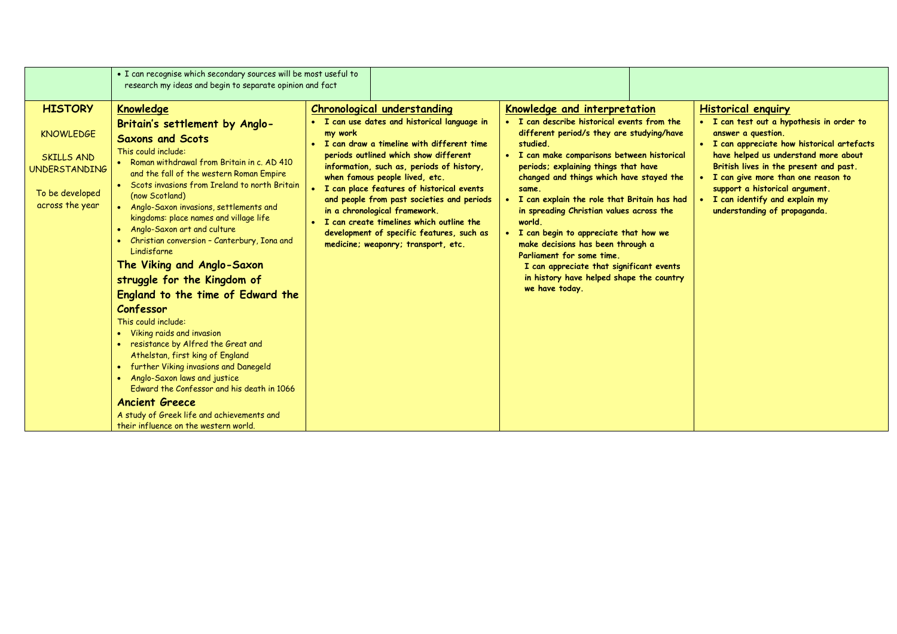|                                                                                                                | • I can recognise which secondary sources will be most useful to                                                                                                                                                                                                                                                                                                                                                                                                                                                                                                                                                                                                                                                                                                                                                                                                                                 |                                                                                                                                                                                                                                                                                                                                                                                                                                                                                                                                      |                                                                                                                                                                                                                                                                                                                                                                                                                                                                                                                                                                                                                |                                                                                                                                                                                                                                                                                                                                                                        |
|----------------------------------------------------------------------------------------------------------------|--------------------------------------------------------------------------------------------------------------------------------------------------------------------------------------------------------------------------------------------------------------------------------------------------------------------------------------------------------------------------------------------------------------------------------------------------------------------------------------------------------------------------------------------------------------------------------------------------------------------------------------------------------------------------------------------------------------------------------------------------------------------------------------------------------------------------------------------------------------------------------------------------|--------------------------------------------------------------------------------------------------------------------------------------------------------------------------------------------------------------------------------------------------------------------------------------------------------------------------------------------------------------------------------------------------------------------------------------------------------------------------------------------------------------------------------------|----------------------------------------------------------------------------------------------------------------------------------------------------------------------------------------------------------------------------------------------------------------------------------------------------------------------------------------------------------------------------------------------------------------------------------------------------------------------------------------------------------------------------------------------------------------------------------------------------------------|------------------------------------------------------------------------------------------------------------------------------------------------------------------------------------------------------------------------------------------------------------------------------------------------------------------------------------------------------------------------|
| <b>HISTORY</b><br><b>KNOWLEDGE</b><br>SKILLS AND<br><b>UNDERSTANDING</b><br>To be developed<br>across the year | research my ideas and begin to separate opinion and fact<br><b>Knowledge</b><br>Britain's settlement by Anglo-<br><b>Saxons and Scots</b><br>This could include:<br>• Roman withdrawal from Britain in c. AD 410<br>and the fall of the western Roman Empire<br>• Scots invasions from Ireland to north Britain<br>(now Scotland)<br>• Anglo-Saxon invasions, settlements and<br>kingdoms: place names and village life<br>• Anglo-Saxon art and culture<br>Christian conversion - Canterbury, Iona and<br>Lindisfarne<br>The Viking and Anglo-Saxon<br>struggle for the Kingdom of<br>England to the time of Edward the<br>Confessor<br>This could include:<br>• Viking raids and invasion<br>• resistance by Alfred the Great and<br>Athelstan, first king of England<br>further Viking invasions and Danegeld<br>• Anglo-Saxon laws and justice<br>Edward the Confessor and his death in 1066 | <b>Chronological understanding</b><br>. I can use dates and historical language in<br>my work<br>• I can draw a timeline with different time<br>periods outlined which show different<br>information, such as, periods of history,<br>when famous people lived, etc.<br>• I can place features of historical events<br>and people from past societies and periods<br>in a chronological framework.<br>• I can create timelines which outline the<br>development of specific features, such as<br>medicine; weaponry; transport, etc. | Knowledge and interpretation<br>• I can describe historical events from the<br>different period/s they are studying/have<br>studied.<br>• I can make comparisons between historical<br>periods; explaining things that have<br>changed and things which have stayed the<br>same.<br>• I can explain the role that Britain has had<br>in spreading Christian values across the<br>world.<br>• I can begin to appreciate that how we<br>make decisions has been through a<br>Parliament for some time.<br>I can appreciate that significant events<br>in history have helped shape the country<br>we have today. | <b>Historical enquiry</b><br>• I can test out a hypothesis in order to<br>answer a question.<br>• I can appreciate how historical artefacts<br>have helped us understand more about<br>British lives in the present and past.<br>I can give more than one reason to<br>support a historical argument.<br>I can identify and explain my<br>understanding of propaganda. |
|                                                                                                                | <b>Ancient Greece</b><br>A study of Greek life and achievements and<br>their influence on the western world.                                                                                                                                                                                                                                                                                                                                                                                                                                                                                                                                                                                                                                                                                                                                                                                     |                                                                                                                                                                                                                                                                                                                                                                                                                                                                                                                                      |                                                                                                                                                                                                                                                                                                                                                                                                                                                                                                                                                                                                                |                                                                                                                                                                                                                                                                                                                                                                        |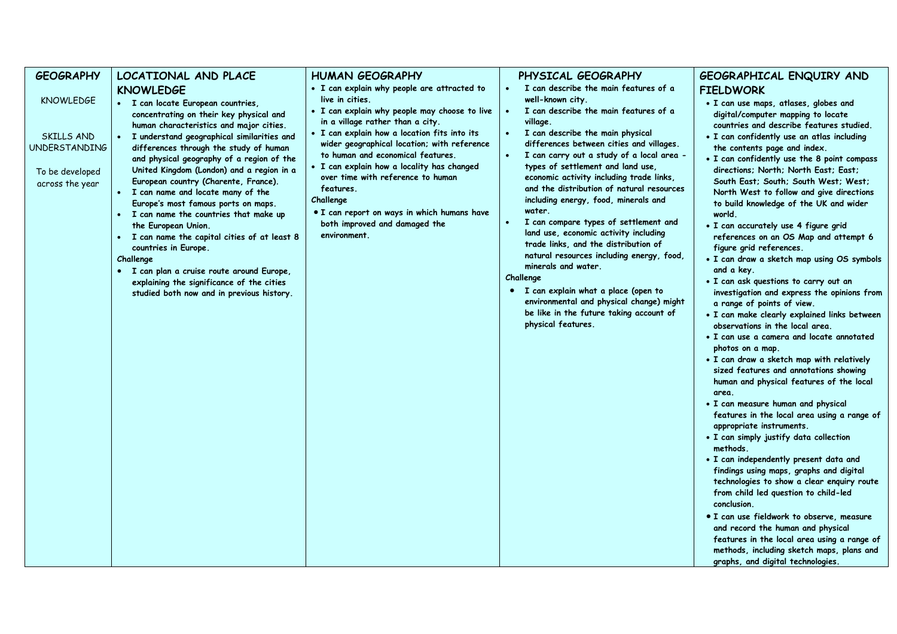| <b>GEOGRAPHY</b>                                                                             | LOCATIONAL AND PLACE                                                                                                                                                                                                                                                                                                                                                                                                                                                                                                                                                                                                                                                                                                                                   | <b>HUMAN GEOGRAPHY</b>                                                                                                                                                                                                                                                                                                                                                                                                                                | PHYSICAL GEOGRAPHY                                                                                                                                                                                                                                                                                                                                                                                                                                                                                                                                                                                                                                                                                                                                  | GEOGRAPHICAL ENQUIRY AND                                                                                                                                                                                                                                                                                                                                                                                                                                                                                                                                                                                                                                                                                                                                                                                                                                                                                                                                                                                                                                                                                                                                                                                                                                                                                                                                                                                                                                                                                                                                                                              |
|----------------------------------------------------------------------------------------------|--------------------------------------------------------------------------------------------------------------------------------------------------------------------------------------------------------------------------------------------------------------------------------------------------------------------------------------------------------------------------------------------------------------------------------------------------------------------------------------------------------------------------------------------------------------------------------------------------------------------------------------------------------------------------------------------------------------------------------------------------------|-------------------------------------------------------------------------------------------------------------------------------------------------------------------------------------------------------------------------------------------------------------------------------------------------------------------------------------------------------------------------------------------------------------------------------------------------------|-----------------------------------------------------------------------------------------------------------------------------------------------------------------------------------------------------------------------------------------------------------------------------------------------------------------------------------------------------------------------------------------------------------------------------------------------------------------------------------------------------------------------------------------------------------------------------------------------------------------------------------------------------------------------------------------------------------------------------------------------------|-------------------------------------------------------------------------------------------------------------------------------------------------------------------------------------------------------------------------------------------------------------------------------------------------------------------------------------------------------------------------------------------------------------------------------------------------------------------------------------------------------------------------------------------------------------------------------------------------------------------------------------------------------------------------------------------------------------------------------------------------------------------------------------------------------------------------------------------------------------------------------------------------------------------------------------------------------------------------------------------------------------------------------------------------------------------------------------------------------------------------------------------------------------------------------------------------------------------------------------------------------------------------------------------------------------------------------------------------------------------------------------------------------------------------------------------------------------------------------------------------------------------------------------------------------------------------------------------------------|
|                                                                                              |                                                                                                                                                                                                                                                                                                                                                                                                                                                                                                                                                                                                                                                                                                                                                        | • I can explain why people are attracted to                                                                                                                                                                                                                                                                                                                                                                                                           | I can describe the main features of a                                                                                                                                                                                                                                                                                                                                                                                                                                                                                                                                                                                                                                                                                                               |                                                                                                                                                                                                                                                                                                                                                                                                                                                                                                                                                                                                                                                                                                                                                                                                                                                                                                                                                                                                                                                                                                                                                                                                                                                                                                                                                                                                                                                                                                                                                                                                       |
| <b>KNOWLEDGE</b><br>SKILLS AND<br><b>UNDERSTANDING</b><br>To be developed<br>across the year | <b>KNOWLEDGE</b><br>• I can locate European countries,<br>concentrating on their key physical and<br>human characteristics and major cities.<br>· I understand geographical similarities and<br>differences through the study of human<br>and physical geography of a region of the<br>United Kingdom (London) and a region in a<br>European country (Charente, France).<br>· I can name and locate many of the<br>Europe's most famous ports on maps.<br>• I can name the countries that make up<br>the European Union.<br>· I can name the capital cities of at least 8<br>countries in Europe.<br>Challenge<br>· I can plan a cruise route around Europe,<br>explaining the significance of the cities<br>studied both now and in previous history. | live in cities.<br>. I can explain why people may choose to live<br>in a village rather than a city.<br>. I can explain how a location fits into its<br>wider geographical location; with reference<br>to human and economical features.<br>• I can explain how a locality has changed<br>over time with reference to human<br>features.<br>Challenge<br>• I can report on ways in which humans have<br>both improved and damaged the<br>environment. | well-known city.<br>I can describe the main features of a<br>village.<br>I can describe the main physical<br>differences between cities and villages.<br>I can carry out a study of a local area -<br>types of settlement and land use,<br>economic activity including trade links,<br>and the distribution of natural resources<br>including energy, food, minerals and<br>water.<br>I can compare types of settlement and<br>land use, economic activity including<br>trade links, and the distribution of<br>natural resources including energy, food,<br>minerals and water.<br>Challenge<br>• I can explain what a place (open to<br>environmental and physical change) might<br>be like in the future taking account of<br>physical features. | <b>FIELDWORK</b><br>. I can use maps, atlases, globes and<br>digital/computer mapping to locate<br>countries and describe features studied.<br>. I can confidently use an atlas including<br>the contents page and index.<br>• I can confidently use the 8 point compass<br>directions; North; North East; East;<br>South East; South; South West; West;<br>North West to follow and give directions<br>to build knowledge of the UK and wider<br>world.<br>· I can accurately use 4 figure grid<br>references on an OS Map and attempt 6<br>figure grid references.<br>. I can draw a sketch map using OS symbols<br>and a key.<br>. I can ask questions to carry out an<br>investigation and express the opinions from<br>a range of points of view.<br>· I can make clearly explained links between<br>observations in the local area.<br>• I can use a camera and locate annotated<br>photos on a map.<br>. I can draw a sketch map with relatively<br>sized features and annotations showing<br>human and physical features of the local<br>area.<br>• I can measure human and physical<br>features in the local area using a range of<br>appropriate instruments.<br>. I can simply justify data collection<br>methods.<br>· I can independently present data and<br>findings using maps, graphs and digital<br>technologies to show a clear enquiry route<br>from child led question to child-led<br>conclusion.<br>• I can use fieldwork to observe, measure<br>and record the human and physical<br>features in the local area using a range of<br>methods, including sketch maps, plans and |
|                                                                                              |                                                                                                                                                                                                                                                                                                                                                                                                                                                                                                                                                                                                                                                                                                                                                        |                                                                                                                                                                                                                                                                                                                                                                                                                                                       |                                                                                                                                                                                                                                                                                                                                                                                                                                                                                                                                                                                                                                                                                                                                                     | graphs, and digital technologies.                                                                                                                                                                                                                                                                                                                                                                                                                                                                                                                                                                                                                                                                                                                                                                                                                                                                                                                                                                                                                                                                                                                                                                                                                                                                                                                                                                                                                                                                                                                                                                     |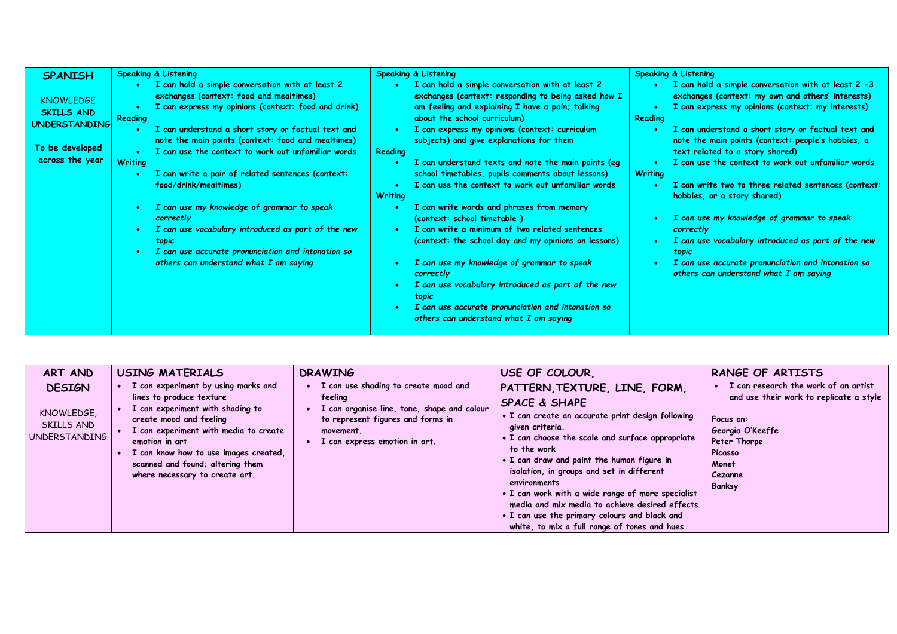| <b>SPANISH</b>                                                                                      | <b>Speaking &amp; Listening</b>                                                                                                                                                                                                                                                                                                                                                                                                                                                                                                                                                                                                                             | <b>Speaking &amp; Listening</b>                                                                                                                                                                                                                                                                                                                                                                                                                                                                                                                                                                                                                                                                                                                                                                                                                                                                          | <b>Speaking &amp; Listening</b>                                                                                                                                                                                                                                                                                                                                                                                                                                                                                                                                                                                                                                                                                                                           |
|-----------------------------------------------------------------------------------------------------|-------------------------------------------------------------------------------------------------------------------------------------------------------------------------------------------------------------------------------------------------------------------------------------------------------------------------------------------------------------------------------------------------------------------------------------------------------------------------------------------------------------------------------------------------------------------------------------------------------------------------------------------------------------|----------------------------------------------------------------------------------------------------------------------------------------------------------------------------------------------------------------------------------------------------------------------------------------------------------------------------------------------------------------------------------------------------------------------------------------------------------------------------------------------------------------------------------------------------------------------------------------------------------------------------------------------------------------------------------------------------------------------------------------------------------------------------------------------------------------------------------------------------------------------------------------------------------|-----------------------------------------------------------------------------------------------------------------------------------------------------------------------------------------------------------------------------------------------------------------------------------------------------------------------------------------------------------------------------------------------------------------------------------------------------------------------------------------------------------------------------------------------------------------------------------------------------------------------------------------------------------------------------------------------------------------------------------------------------------|
| <b>KNOWLEDGE</b><br><b>SKILLS AND</b><br><b>UNDERSTANDING</b><br>To be developed<br>across the year | • I can hold a simple conversation with at least 2<br>exchanges (context: food and mealtimes)<br>I can express my opinions (context: food and drink)<br>Reading<br>I can understand a short story or factual text and<br>note the main points (context: food and mealtimes)<br>I can use the context to work out unfamiliar words<br><b>Writing</b><br>I can write a pair of related sentences (context:<br>food/drink/mealtimes)<br>I can use my knowledge of grammar to speak<br>correctly<br>I can use vocabulary introduced as part of the new<br>topic<br>I can use accurate pronunciation and intonation so<br>others can understand what I am saying | I can hold a simple conversation with at least 2<br>exchanges (context: responding to being asked how I<br>am feeling and explaining I have a pain; talking<br>about the school curriculum)<br>I can express my opinions (context: curriculum<br>subjects) and give explanations for them<br>Reading<br>I can understand texts and note the main points (eg<br>school timetables, pupils comments about lessons)<br>I can use the context to work out unfamiliar words<br><b>Writing</b><br>I can write words and phrases from memory<br>(context: school timetable)<br>I can write a minimum of two related sentences<br>(context: the school day and my opinions on lessons)<br>I can use my knowledge of grammar to speak<br>correctly<br>I can use vocabulary introduced as part of the new<br>topic<br>I can use accurate pronunciation and intonation so<br>others can understand what I am saying | $\blacksquare$ I can hold a simple conversation with at least 2 -3<br>$\bullet$<br>exchanges (context: my own and others' interests)<br>I can express my opinions (context: my interests)<br>Reading<br>I can understand a short story or factual text and<br>note the main points (context: people's hobbies, a<br>text related to a story shared)<br>I can use the context to work out unfamiliar words<br><b>Writing</b><br>I can write two to three related sentences (context:<br>hobbies, or a story shared)<br>I can use my knowledge of grammar to speak<br>$\bullet$<br>correctly<br>I can use vocabulary introduced as part of the new<br>topic<br>I can use accurate pronunciation and intonation so<br>others can understand what I am saying |

| ART AND<br><b>DESIGN</b><br>KNOWLEDGE.<br>SKILLS AND<br><b>UNDERSTANDING</b> | <b>USING MATERIALS</b><br>I can experiment by using marks and<br>lines to produce texture<br>I can experiment with shading to<br>create mood and feeling<br>I can experiment with media to create<br>emotion in art<br>I can know how to use images created,<br>scanned and found; altering them<br>where necessary to create art. | <b>DRAWING</b><br>I can use shading to create mood and<br>feeling<br>I can organise line, tone, shape and colour<br>to represent figures and forms in<br>movement.<br>I can express emotion in art. | USE OF COLOUR,<br>PATTERN, TEXTURE, LINE, FORM,<br><b>SPACE &amp; SHAPE</b><br>• I can create an accurate print design following<br>given criteria.<br>• I can choose the scale and surface appropriate<br>to the work<br>• I can draw and paint the human figure in<br>isolation, in groups and set in different<br>environments<br>• I can work with a wide range of more specialist<br>media and mix media to achieve desired effects<br>. I can use the primary colours and black and<br>white, to mix a full range of tones and hues | RANGE OF ARTISTS<br>I can research the work of an artist<br>and use their work to replicate a style<br>Focus on:<br>Georgia O'Keeffe<br>Peter Thorpe<br>Picasso<br>Monet<br>Cezanne<br>Banksy |
|------------------------------------------------------------------------------|------------------------------------------------------------------------------------------------------------------------------------------------------------------------------------------------------------------------------------------------------------------------------------------------------------------------------------|-----------------------------------------------------------------------------------------------------------------------------------------------------------------------------------------------------|-------------------------------------------------------------------------------------------------------------------------------------------------------------------------------------------------------------------------------------------------------------------------------------------------------------------------------------------------------------------------------------------------------------------------------------------------------------------------------------------------------------------------------------------|-----------------------------------------------------------------------------------------------------------------------------------------------------------------------------------------------|
|------------------------------------------------------------------------------|------------------------------------------------------------------------------------------------------------------------------------------------------------------------------------------------------------------------------------------------------------------------------------------------------------------------------------|-----------------------------------------------------------------------------------------------------------------------------------------------------------------------------------------------------|-------------------------------------------------------------------------------------------------------------------------------------------------------------------------------------------------------------------------------------------------------------------------------------------------------------------------------------------------------------------------------------------------------------------------------------------------------------------------------------------------------------------------------------------|-----------------------------------------------------------------------------------------------------------------------------------------------------------------------------------------------|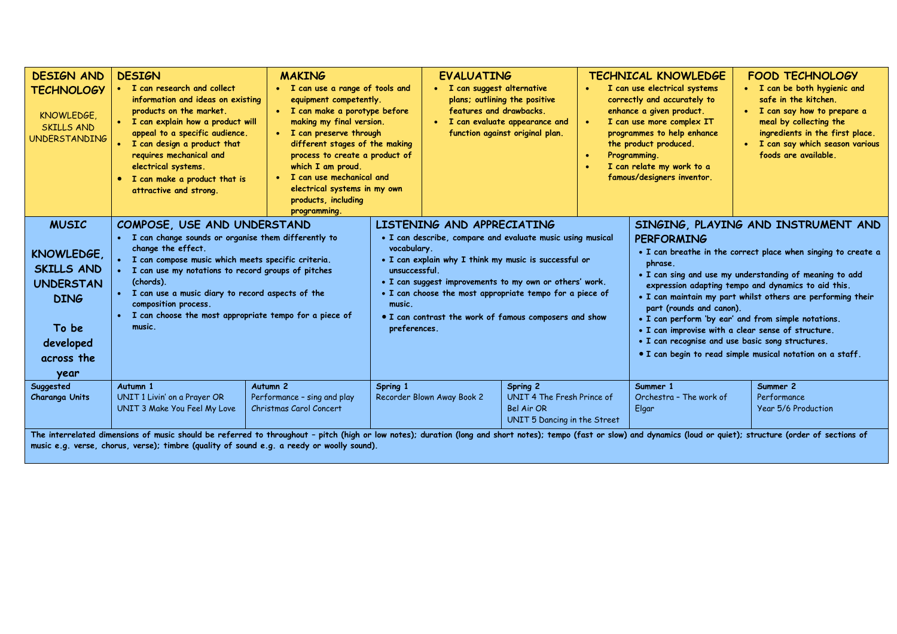| <b>DESIGN AND</b><br><b>TECHNOLOGY</b><br>KNOWLEDGE,<br><b>SKILLS AND</b><br><b>UNDERSTANDING</b>                                                                                                                                                                                                                   | <b>DESIGN</b><br>• I can research and collect<br>information and ideas on existing<br>products on the market.<br>• I can explain how a product will<br>appeal to a specific audience.<br>I can design a product that<br>$\bullet$<br>requires mechanical and<br>electrical systems.<br>• I can make a product that is<br>attractive and strong.                                   | <b>MAKING</b><br>• I can use a range of tools and<br>equipment competently.<br>• I can make a porotype before<br>making my final version.<br>• I can preserve through<br>different stages of the making<br>process to create a product of<br>which I am proud.<br>• I can use mechanical and<br>electrical systems in my own<br>products, including<br>programming. |          | <b>EVALUATING</b><br>• I can suggest alternative<br>features and drawbacks.                                                                                                                                                                                                                                                                                                                  | plans; outlining the positive<br>I can evaluate appearance and<br>function against original plan. | - 6                                                                                                          | <b>TECHNICAL KNOWLEDGE</b><br>I can use electrical systems<br>correctly and accurately to<br>enhance a given product.<br>I can use more complex IT<br>programmes to help enhance<br>the product produced.<br>Programming.<br>I can relate my work to a<br>famous/designers inventor.                                                                                                                                                                            | <b>FOOD TECHNOLOGY</b><br>• I can be both hygienic and<br>safe in the kitchen.<br>I can say how to prepare a<br>$\bullet$<br>meal by collecting the<br>ingredients in the first place.<br>I can say which season various<br>$\bullet$<br>foods are available. |
|---------------------------------------------------------------------------------------------------------------------------------------------------------------------------------------------------------------------------------------------------------------------------------------------------------------------|-----------------------------------------------------------------------------------------------------------------------------------------------------------------------------------------------------------------------------------------------------------------------------------------------------------------------------------------------------------------------------------|---------------------------------------------------------------------------------------------------------------------------------------------------------------------------------------------------------------------------------------------------------------------------------------------------------------------------------------------------------------------|----------|----------------------------------------------------------------------------------------------------------------------------------------------------------------------------------------------------------------------------------------------------------------------------------------------------------------------------------------------------------------------------------------------|---------------------------------------------------------------------------------------------------|--------------------------------------------------------------------------------------------------------------|-----------------------------------------------------------------------------------------------------------------------------------------------------------------------------------------------------------------------------------------------------------------------------------------------------------------------------------------------------------------------------------------------------------------------------------------------------------------|---------------------------------------------------------------------------------------------------------------------------------------------------------------------------------------------------------------------------------------------------------------|
| <b>MUSIC</b><br>KNOWLEDGE,<br><b>SKILLS AND</b><br><b>UNDERSTAN</b><br><b>DING</b><br>To be<br>developed<br>across the<br>year                                                                                                                                                                                      | COMPOSE, USE AND UNDERSTAND<br>I can change sounds or organise them differently to<br>change the effect.<br>I can compose music which meets specific criteria.<br>I can use my notations to record groups of pitches<br>(chords).<br>I can use a music diary to record aspects of the<br>composition process.<br>I can choose the most appropriate tempo for a piece of<br>music. |                                                                                                                                                                                                                                                                                                                                                                     |          | LISTENING AND APPRECIATING<br>• I can describe, compare and evaluate music using musical<br>vocabulary.<br>. I can explain why I think my music is successful or<br>unsuccessful.<br>. I can suggest improvements to my own or others' work.<br>• I can choose the most appropriate tempo for a piece of<br>music.<br>• I can contrast the work of famous composers and show<br>preferences. |                                                                                                   | <b>PERFORMING</b><br>phrase.<br>part (rounds and canon).<br>• I can recognise and use basic song structures. | SINGING, PLAYING AND INSTRUMENT AND<br>• I can breathe in the correct place when singing to create a<br>. I can sing and use my understanding of meaning to add<br>expression adapting tempo and dynamics to aid this.<br>. I can maintain my part whilst others are performing their<br>• I can perform 'by ear' and from simple notations.<br>• I can improvise with a clear sense of structure.<br>• I can begin to read simple musical notation on a staff. |                                                                                                                                                                                                                                                               |
| Suggested<br>Charanga Units                                                                                                                                                                                                                                                                                         | Autumn 1<br>UNIT 1 Livin' on a Prayer OR<br>UNIT 3 Make You Feel My Love                                                                                                                                                                                                                                                                                                          | Autumn <sub>2</sub><br>Performance - sing and play<br>Christmas Carol Concert                                                                                                                                                                                                                                                                                       | Spring 1 | Recorder Blown Away Book 2                                                                                                                                                                                                                                                                                                                                                                   | Spring 2<br>UNIT 4 The Fresh Prince of<br>Bel Air OR<br>UNIT 5 Dancing in the Street              |                                                                                                              | Summer 1<br>Orchestra - The work of<br>Elgar                                                                                                                                                                                                                                                                                                                                                                                                                    | Summer 2<br>Performance<br>Year 5/6 Production                                                                                                                                                                                                                |
| The interrelated dimensions of music should be referred to throughout - pitch (high or low notes); duration (long and short notes); tempo (fast or slow) and dynamics (loud or quiet); structure (order of sections of<br>music e.g. verse, chorus, verse); timbre (quality of sound e.g. a reedy or woolly sound). |                                                                                                                                                                                                                                                                                                                                                                                   |                                                                                                                                                                                                                                                                                                                                                                     |          |                                                                                                                                                                                                                                                                                                                                                                                              |                                                                                                   |                                                                                                              |                                                                                                                                                                                                                                                                                                                                                                                                                                                                 |                                                                                                                                                                                                                                                               |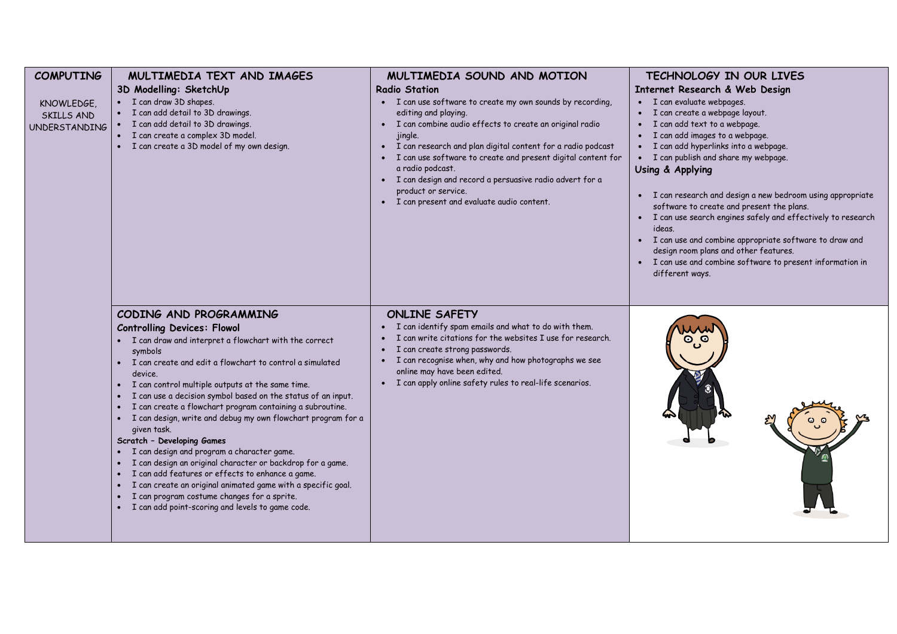| <b>COMPUTING</b>                                 | MULTIMEDIA TEXT AND IMAGES                                                                                                                                                                                                                                                                                                                                                                                                                                                                                                                                                                                                                                                                                                                                                                                                                                                   | MULTIMEDIA SOUND AND MOTION                                                                                                                                                                                                                                                                                                                                                                                                                                                | TECHNOLOGY IN OUR LIVES                                                                                                                                                                                                                                                                                                                                                                                                                                                                                                                                                                                                                                                         |
|--------------------------------------------------|------------------------------------------------------------------------------------------------------------------------------------------------------------------------------------------------------------------------------------------------------------------------------------------------------------------------------------------------------------------------------------------------------------------------------------------------------------------------------------------------------------------------------------------------------------------------------------------------------------------------------------------------------------------------------------------------------------------------------------------------------------------------------------------------------------------------------------------------------------------------------|----------------------------------------------------------------------------------------------------------------------------------------------------------------------------------------------------------------------------------------------------------------------------------------------------------------------------------------------------------------------------------------------------------------------------------------------------------------------------|---------------------------------------------------------------------------------------------------------------------------------------------------------------------------------------------------------------------------------------------------------------------------------------------------------------------------------------------------------------------------------------------------------------------------------------------------------------------------------------------------------------------------------------------------------------------------------------------------------------------------------------------------------------------------------|
| KNOWLEDGE,<br>SKILLS AND<br><b>UNDERSTANDING</b> | 3D Modelling: SketchUp<br>• I can draw 3D shapes.<br>I can add detail to 3D drawings.<br>I can add detail to 3D drawings.<br>• I can create a complex 3D model.<br>· I can create a 3D model of my own design.                                                                                                                                                                                                                                                                                                                                                                                                                                                                                                                                                                                                                                                               | <b>Radio Station</b><br>• I can use software to create my own sounds by recording,<br>editing and playing.<br>• I can combine audio effects to create an original radio<br>jingle.<br>• I can research and plan digital content for a radio podcast<br>I can use software to create and present digital content for<br>a radio podcast.<br>· I can design and record a persuasive radio advert for a<br>product or service.<br>• I can present and evaluate audio content. | Internet Research & Web Design<br>· I can evaluate webpages.<br>I can create a webpage layout.<br>I can add text to a webpage.<br>I can add images to a webpage.<br>$\bullet$<br>I can add hyperlinks into a webpage.<br>$\bullet$<br>I can publish and share my webpage.<br>Using & Applying<br>I can research and design a new bedroom using appropriate<br>software to create and present the plans.<br>I can use search engines safely and effectively to research<br>$\bullet$<br>ideas.<br>I can use and combine appropriate software to draw and<br>design room plans and other features.<br>I can use and combine software to present information in<br>different ways. |
|                                                  | CODING AND PROGRAMMING<br><b>Controlling Devices: Flowol</b><br>• I can draw and interpret a flowchart with the correct<br>symbols<br>• I can create and edit a flowchart to control a simulated<br>device.<br>I can control multiple outputs at the same time.<br>$\bullet$<br>I can use a decision symbol based on the status of an input.<br>I can create a flowchart program containing a subroutine.<br>$\bullet$<br>· I can design, write and debug my own flowchart program for a<br>given task.<br>Scratch - Developing Games<br>· I can design and program a character game.<br>I can design an original character or backdrop for a game.<br>I can add features or effects to enhance a game.<br>• I can create an original animated game with a specific goal.<br>I can program costume changes for a sprite.<br>I can add point-scoring and levels to game code. | <b>ONLINE SAFETY</b><br>I can identify spam emails and what to do with them.<br>I can write citations for the websites I use for research.<br>I can create strong passwords.<br>$\bullet$<br>• I can recognise when, why and how photographs we see<br>online may have been edited.<br>• I can apply online safety rules to real-life scenarios.                                                                                                                           |                                                                                                                                                                                                                                                                                                                                                                                                                                                                                                                                                                                                                                                                                 |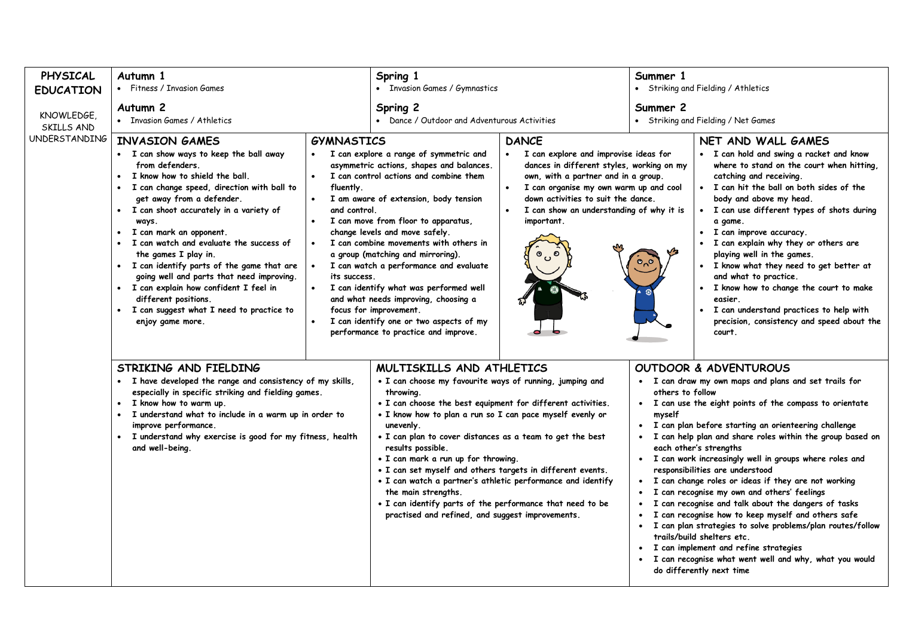| PHYSICAL<br><b>EDUCATION</b> | Autumn 1<br>• Fitness / Invasion Games                                                                                                                                                                                                                                                                                                                                                                                                                                                                                                                                                                |                                                                                                                    | Spring 1<br>• Invasion Games / Gymnastics                                                                                                                                                                                                                                                                                                                                                                                                                                                                                                                                                                                                 |                                                                                                                                                                                                                                                                                                                                                                                                                        | Summer 1<br>• Striking and Fielding / Athletics |                                                                                                                                                                                                                                                                                                                                                                                                                                                                                                                                                                                                                                                                                                                                                                                                                                                    |
|------------------------------|-------------------------------------------------------------------------------------------------------------------------------------------------------------------------------------------------------------------------------------------------------------------------------------------------------------------------------------------------------------------------------------------------------------------------------------------------------------------------------------------------------------------------------------------------------------------------------------------------------|--------------------------------------------------------------------------------------------------------------------|-------------------------------------------------------------------------------------------------------------------------------------------------------------------------------------------------------------------------------------------------------------------------------------------------------------------------------------------------------------------------------------------------------------------------------------------------------------------------------------------------------------------------------------------------------------------------------------------------------------------------------------------|------------------------------------------------------------------------------------------------------------------------------------------------------------------------------------------------------------------------------------------------------------------------------------------------------------------------------------------------------------------------------------------------------------------------|-------------------------------------------------|----------------------------------------------------------------------------------------------------------------------------------------------------------------------------------------------------------------------------------------------------------------------------------------------------------------------------------------------------------------------------------------------------------------------------------------------------------------------------------------------------------------------------------------------------------------------------------------------------------------------------------------------------------------------------------------------------------------------------------------------------------------------------------------------------------------------------------------------------|
| KNOWLEDGE.<br>SKILLS AND     | Autumn <sub>2</sub><br>• Invasion Games / Athletics                                                                                                                                                                                                                                                                                                                                                                                                                                                                                                                                                   |                                                                                                                    | Spring 2<br>• Dance / Outdoor and Adventurous Activities                                                                                                                                                                                                                                                                                                                                                                                                                                                                                                                                                                                  |                                                                                                                                                                                                                                                                                                                                                                                                                        | Summer 2<br>• Striking and Fielding / Net Games |                                                                                                                                                                                                                                                                                                                                                                                                                                                                                                                                                                                                                                                                                                                                                                                                                                                    |
| <b>UNDERSTANDING</b>         | <b>INVASION GAMES</b><br>• I can show ways to keep the ball away<br>from defenders.<br>I know how to shield the ball.<br>• I can change speed, direction with ball to<br>get away from a defender.<br>• I can shoot accurately in a variety of<br>ways.<br>I can mark an opponent.<br>$\bullet$<br>• I can watch and evaluate the success of<br>the games I play in.<br>• I can identify parts of the game that are<br>going well and parts that need improving.<br>• I can explain how confident I feel in<br>different positions.<br>• I can suggest what I need to practice to<br>enjoy game more. | <b>GYMNASTICS</b><br>$\bullet$<br>$\bullet$<br>fluently.<br>and control.<br>its success.<br>$\bullet$<br>$\bullet$ | I can explore a range of symmetric and<br>asymmetric actions, shapes and balances.<br>I can control actions and combine them<br>I am aware of extension, body tension<br>I can move from floor to apparatus,<br>change levels and move safely.<br>I can combine movements with others in<br>a group (matching and mirroring).<br>I can watch a performance and evaluate<br>I can identify what was performed well<br>and what needs improving, choosing a<br>focus for improvement.<br>I can identify one or two aspects of my<br>performance to practice and improve.                                                                    | <b>DANCE</b><br>I can explore and improvise ideas for<br>dances in different styles, working on my<br>own, with a partner and in a group.<br>catching and receiving.<br>I can organise my own warm up and cool<br>down activities to suit the dance.<br>I can show an understanding of why it is<br>important.<br>a game.<br>$\bullet$<br>್ಗಿಂ<br>and what to practice.<br>$\bullet$<br>easier.<br>$\bullet$<br>court. |                                                 | NET AND WALL GAMES<br>• I can hold and swing a racket and know<br>where to stand on the court when hitting,<br>. I can hit the ball on both sides of the<br>body and above my head.<br>• I can use different types of shots during<br>I can improve accuracy.<br>· I can explain why they or others are<br>playing well in the games.<br>. I know what they need to get better at<br>I know how to change the court to make<br>I can understand practices to help with<br>precision, consistency and speed about the                                                                                                                                                                                                                                                                                                                               |
|                              | STRIKING AND FIELDING<br>• I have developed the range and consistency of my skills,<br>especially in specific striking and fielding games.<br>• I know how to warm up.<br>I understand what to include in a warm up in order to<br>$\bullet$<br>improve performance.<br>· I understand why exercise is good for my fitness, health<br>and well-being.                                                                                                                                                                                                                                                 |                                                                                                                    | MULTISKILLS AND ATHLETICS<br>. I can choose my favourite ways of running, jumping and<br>throwing.<br>• I can choose the best equipment for different activities.<br>. I know how to plan a run so I can pace myself evenly or<br>unevenly.<br>. I can plan to cover distances as a team to get the best<br>results possible.<br>• I can mark a run up for throwing.<br>. I can set myself and others targets in different events.<br>. I can watch a partner's athletic performance and identify<br>the main strengths.<br>. I can identify parts of the performance that need to be<br>practised and refined, and suggest improvements. |                                                                                                                                                                                                                                                                                                                                                                                                                        | others to follow<br>myself<br>$\bullet$         | OUTDOOR & ADVENTUROUS<br>• I can draw my own maps and plans and set trails for<br>• I can use the eight points of the compass to orientate<br>• I can plan before starting an orienteering challenge<br>· I can help plan and share roles within the group based on<br>each other's strengths<br>· I can work increasingly well in groups where roles and<br>responsibilities are understood<br>• I can change roles or ideas if they are not working<br>I can recognise my own and others' feelings<br>I can recognise and talk about the dangers of tasks<br>I can recognise how to keep myself and others safe<br>· I can plan strategies to solve problems/plan routes/follow<br>trails/build shelters etc.<br>• I can implement and refine strategies<br>· I can recognise what went well and why, what you would<br>do differently next time |